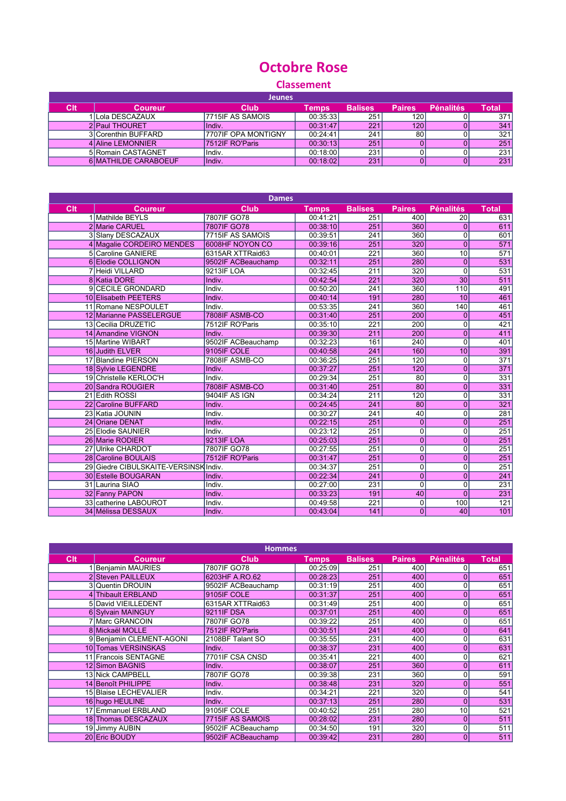## Octobre Rose

## Classement

| Jeunes |                      |                     |              |                |               |                  |       |
|--------|----------------------|---------------------|--------------|----------------|---------------|------------------|-------|
| Clt    | <b>Coureur</b>       | Club                | <b>Temps</b> | <b>Balises</b> | <b>Paires</b> | <b>Pénalités</b> | Total |
|        | I ILola DESCAZAUX    | 7715IF AS SAMOIS    | 00:35:33     | 251            | 1201          |                  | 371   |
|        | 2 Paul THOURET       | Indiv.              | 00:31:47     | 221            | 120           |                  | 341   |
|        | 3 Corenthin BUFFARD  | 7707IF OPA MONTIGNY | 00:24:41     | 241            | 80            |                  | 321   |
|        | 4 Aline LEMONNIER    | 7512IF RO'Paris     | 00:30:13     | 251            |               |                  | 251   |
|        | 5 Romain CASTAGNET   | Indiv.              | 00:18:00     | 231            |               |                  | 231   |
|        | 6 MATHILDE CARABOEUF | Indiv.              | 00:18:02     | 231            |               |                  | 231   |

| <b>Dames</b>    |                                       |                    |              |                  |                |                  |              |
|-----------------|---------------------------------------|--------------------|--------------|------------------|----------------|------------------|--------------|
| Clt             | <b>Coureur</b>                        | <b>Club</b>        | <b>Temps</b> | <b>Balises</b>   | <b>Paires</b>  | <b>Pénalités</b> | <b>Total</b> |
|                 | 1 Mathilde BEYLS                      | 7807IF GO78        | 00:41:21     | 251              | 400            | 20               | 631          |
|                 | 2 Marie CARUEL                        | 7807IF GO78        | 00:38:10     | 251              | 360            | $\mathbf{0}$     | 611          |
|                 | 3 Slany DESCAZAUX                     | 7715IF AS SAMOIS   | 00:39:51     | 241              | 360            | $\overline{0}$   | 601          |
|                 | 4 Magalie CORDEIRO MENDES             | 6008HF NOYON CO    | 00:39:16     | 251              | 320            | $\overline{0}$   | 571          |
|                 | 5 Caroline GANIERE                    | 6315AR XTTRaid63   | 00:40:01     | 221              | 360            | 10               | 571          |
|                 | 6 Elodie COLLIGNON                    | 9502IF ACBeauchamp | 00:32:11     | 251              | 280            | $\overline{0}$   | 531          |
|                 | 7 Heidi VILLARD                       | 9213IF LOA         | 00:32:45     | 211              | 320            | $\Omega$         | 531          |
|                 | 8 Katia DORE                          | Indiv.             | 00:42:54     | $\overline{221}$ | 320            | $\overline{30}$  | 511          |
|                 | 9 CECILE GRONDARD                     | Indiv.             | 00:50:20     | 241              | 360            | $\overline{110}$ | 491          |
|                 | 10 Elisabeth PEETERS                  | Indiv.             | 00:40:14     | 191              | 280            | $\overline{10}$  | 461          |
|                 | 11 Romane NESPOULET                   | Indiv.             | 00:53:35     | 241              | 360            | 140              | 461          |
|                 | 12 Marianne PASSELERGUE               | 7808IF ASMB-CO     | 00:31:40     | 251              | 200            | 0                | 451          |
|                 | 13 Cecilia DRUZETIC                   | 7512IF RO'Paris    | 00:35:10     | 221              | 200            | 0                | 421          |
|                 | 14 Amandine VIGNON                    | Indiv.             | 00:39:30     | 211              | 200            | $\overline{0}$   | 411          |
|                 | 15 Martine WIBART                     | 9502IF ACBeauchamp | 00:32:23     | 161              | 240            | 0                | 401          |
|                 | 16 Judith ELVER                       | 9105IF COLE        | 00:40:58     | 241              | 160            | 10               | 391          |
|                 | 17 Blandine PIERSON                   | 7808IF ASMB-CO     | 00:36:25     | 251              | 120            | $\Omega$         | 371          |
|                 | 18 Sylvie LEGENDRE                    | Indiv.             | 00:37:27     | 251              | 120            | $\overline{0}$   | 371          |
|                 | 19 Christelle KERLOC'H                | Indiv.             | 00:29:34     | 251              | 80             | $\Omega$         | 331          |
|                 | 20 Sandra ROUGIER                     | 7808IF ASMB-CO     | 00:31:40     | $\overline{251}$ | 80             | $\overline{0}$   | 331          |
|                 | 21 Edith ROSSI                        | 9404IF AS IGN      | 00:34:24     | 211              | 120            | $\Omega$         | 331          |
|                 | 22 Caroline BUFFARD                   | Indiv.             | 00:24:45     | 241              | 80             | $\overline{0}$   | 321          |
|                 | 23 Katia JOUNIN                       | Indiv.             | 00:30:27     | 241              | 40             | 0                | 281          |
|                 | 24 Oriane DENAT                       | Indiv.             | 00:22:15     | 251              | $\overline{0}$ | $\overline{0}$   | 251          |
|                 | 25 Elodie SAUNIER                     | Indiv.             | 00:23:12     | 251              | 0              | 0                | 251          |
|                 | 26 Marie RODIER                       | <b>9213IF LOA</b>  | 00:25:03     | 251              | 0              | $\overline{0}$   | 251          |
| 27 <sup>1</sup> | Ulrike CHARDOT                        | 7807IF GO78        | 00:27:55     | 251              | $\overline{0}$ | $\Omega$         | 251          |
|                 | 28 Caroline BOULAIS                   | 7512IF RO'Paris    | 00:31:47     | 251              | $\overline{0}$ | $\overline{0}$   | 251          |
|                 | 29 Giedre CIBULSKAITE-VERSINSK Indiv. |                    | 00:34:37     | 251              | $\overline{0}$ | 0                | 251          |
|                 | 30 Estelle BOUGARAN                   | Indiv.             | 00:22:34     | 241              | $\overline{0}$ | $\overline{0}$   | 241          |
|                 | 31 Laurina SIAO                       | Indiv.             | 00:27:00     | 231              | 0              | $\Omega$         | 231          |
|                 | 32 Fanny PAPON                        | Indiv.             | 00:33:23     | 191              | 40             | $\Omega$         | 231          |
|                 | 33 catherine LABOUROT                 | Indiv.             | 00:49:58     | 221              | 0              | 100              | 121          |
|                 | 34 Mélissa DESSAUX                    | Indiv.             | 00:43:04     | 141              | $\overline{0}$ | 40               | 101          |

| <b>Hommes</b>   |                          |                    |          |                |        |                  |       |
|-----------------|--------------------------|--------------------|----------|----------------|--------|------------------|-------|
| C <sub>it</sub> | <b>Coureur</b>           | <b>Club</b>        | Temps    | <b>Balises</b> | Paires | <b>Pénalités</b> | Total |
|                 | Benjamin MAURIES         | 7807IF GO78        | 00:25:09 | 251            | 400    |                  | 651   |
|                 | 2 Steven PAILLEUX        | 6203HF A.RO.62     | 00:28:23 | 251            | 400    | 0                | 651   |
|                 | 3 Quentin DROUIN         | 9502IF ACBeauchamp | 00:31:19 | 251            | 400    | Ω                | 651   |
|                 | 4 Thibault ERBLAND       | 9105IF COLE        | 00:31:37 | 251            | 400    | 0                | 651   |
|                 | 5 David VIEILLEDENT      | 6315AR XTTRaid63   | 00:31:49 | 251            | 400    | Ω                | 651   |
|                 | 6 Sylvain MAINGUY        | 9211IF DSA         | 00:37:01 | 251            | 400    | 0                | 651   |
|                 | 7 Marc GRANCOIN          | 7807IF GO78        | 00:39:22 | 251            | 400    |                  | 651   |
|                 | 8 Mickaël MOLLE          | 7512IF RO'Paris    | 00:30:51 | 241            | 400    | 0                | 641   |
|                 | 9 Benjamin CLEMENT-AGONI | 2108BF Talant SO   | 00:35:55 | 231            | 400    | 0                | 631   |
|                 | 10 Tomas VERSINSKAS      | Indiv.             | 00:38:37 | 231            | 400    |                  | 631   |
|                 | 11 Francois SENTAGNE     | 7701IF CSA CNSD    | 00:35:41 | 221            | 400    | Ω                | 621   |
|                 | 12 Simon BAGNIS          | Indiv.             | 00:38:07 | 251            | 360    | 0                | 611   |
|                 | 13 Nick CAMPBELL         | 7807IF GO78        | 00:39:38 | 231            | 360    |                  | 591   |
|                 | 14 Benoît PHILIPPE       | Indiv.             | 00:38:48 | 231            | 320    | 0                | 551   |
|                 | 15 Blaise LECHEVALIER    | Indiv.             | 00:34:21 | 221            | 320    | Ω                | 541   |
|                 | 16 hugo HEULINE          | Indiv.             | 00:37:13 | 251            | 280    | 0                | 531   |
|                 | 17 Emmanuel ERBLAND      | 9105IF COLE        | 00:40:52 | 251            | 280    | 10               | 521   |
|                 | 18 Thomas DESCAZAUX      | 7715IF AS SAMOIS   | 00:28:02 | 231            | 280    | 0                | 511   |
|                 | 19 Jimmy AUBIN           | 9502IF ACBeauchamp | 00:34:50 | 191            | 320    | 0                | 511   |
|                 | 20 Eric BOUDY            | 9502IF ACBeauchamp | 00:39:42 | 231            | 280    | 0                | 511   |